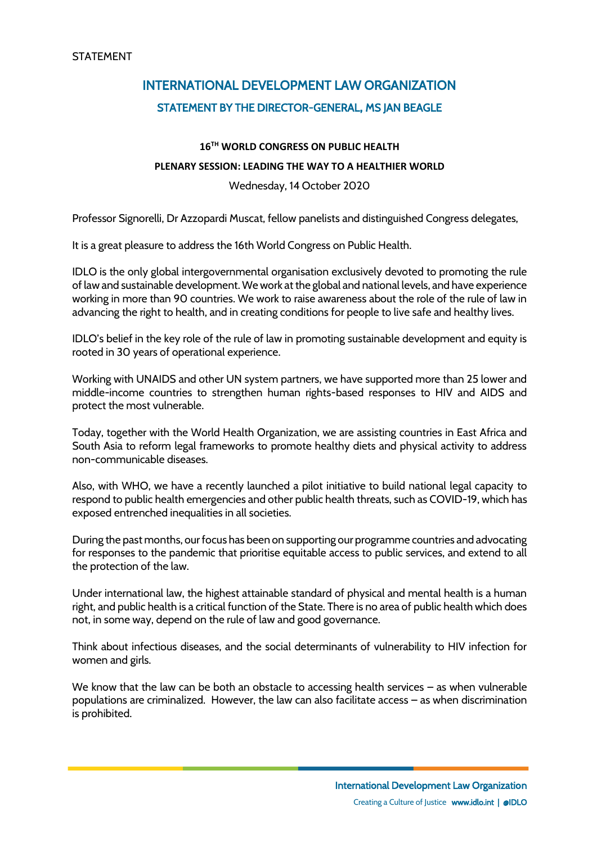## INTERNATIONAL DEVELOPMENT LAW ORGANIZATION STATEMENT BY THE DIRECTOR-GENERAL, MS JAN BEAGLE

## **16TH WORLD CONGRESS ON PUBLIC HEALTH**

## **PLENARY SESSION: LEADING THE WAY TO A HEALTHIER WORLD**

Wednesday, 14 October 2020

Professor Signorelli, Dr Azzopardi Muscat, fellow panelists and distinguished Congress delegates,

It is a great pleasure to address the 16th World Congress on Public Health.

IDLO is the only global intergovernmental organisation exclusively devoted to promoting the rule of law and sustainable development. We work at the global and national levels, and have experience working in more than 90 countries. We work to raise awareness about the role of the rule of law in advancing the right to health, and in creating conditions for people to live safe and healthy lives.

IDLO's belief in the key role of the rule of law in promoting sustainable development and equity is rooted in 30 years of operational experience.

Working with UNAIDS and other UN system partners, we have supported more than 25 lower and middle-income countries to strengthen human rights-based responses to HIV and AIDS and protect the most vulnerable.

Today, together with the World Health Organization, we are assisting countries in East Africa and South Asia to reform legal frameworks to promote healthy diets and physical activity to address non-communicable diseases.

Also, with WHO, we have a recently launched a pilot initiative to build national legal capacity to respond to public health emergencies and other public health threats, such as COVID-19, which has exposed entrenched inequalities in all societies.

During the past months, our focus has been on supporting our programme countries and advocating for responses to the pandemic that prioritise equitable access to public services, and extend to all the protection of the law.

Under international law, the highest attainable standard of physical and mental health is a human right, and public health is a critical function of the State. There is no area of public health which does not, in some way, depend on the rule of law and good governance.

Think about infectious diseases, and the social determinants of vulnerability to HIV infection for women and girls.

We know that the law can be both an obstacle to accessing health services – as when vulnerable populations are criminalized. However, the law can also facilitate access – as when discrimination is prohibited.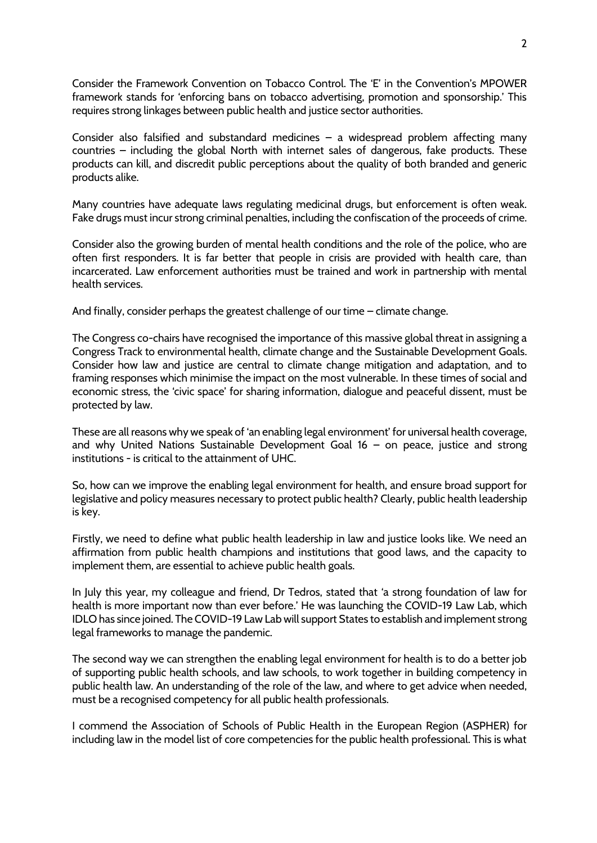Consider the Framework Convention on Tobacco Control. The 'E' in the Convention's MPOWER framework stands for 'enforcing bans on tobacco advertising, promotion and sponsorship.' This requires strong linkages between public health and justice sector authorities.

Consider also falsified and substandard medicines – a widespread problem affecting many countries – including the global North with internet sales of dangerous, fake products. These products can kill, and discredit public perceptions about the quality of both branded and generic products alike.

Many countries have adequate laws regulating medicinal drugs, but enforcement is often weak. Fake drugs must incur strong criminal penalties, including the confiscation of the proceeds of crime.

Consider also the growing burden of mental health conditions and the role of the police, who are often first responders. It is far better that people in crisis are provided with health care, than incarcerated. Law enforcement authorities must be trained and work in partnership with mental health services.

And finally, consider perhaps the greatest challenge of our time – climate change.

The Congress co-chairs have recognised the importance of this massive global threat in assigning a Congress Track to environmental health, climate change and the Sustainable Development Goals. Consider how law and justice are central to climate change mitigation and adaptation, and to framing responses which minimise the impact on the most vulnerable. In these times of social and economic stress, the 'civic space' for sharing information, dialogue and peaceful dissent, must be protected by law.

These are all reasons why we speak of 'an enabling legal environment' for universal health coverage, and why United Nations Sustainable Development Goal 16 – on peace, justice and strong institutions - is critical to the attainment of UHC.

So, how can we improve the enabling legal environment for health, and ensure broad support for legislative and policy measures necessary to protect public health? Clearly, public health leadership is key.

Firstly, we need to define what public health leadership in law and justice looks like. We need an affirmation from public health champions and institutions that good laws, and the capacity to implement them, are essential to achieve public health goals.

In July this year, my colleague and friend, Dr Tedros, stated that 'a strong foundation of law for health is more important now than ever before.' He was launching the COVID-19 Law Lab, which IDLO has since joined. The COVID-19 Law Lab will support States to establish and implement strong legal frameworks to manage the pandemic.

The second way we can strengthen the enabling legal environment for health is to do a better job of supporting public health schools, and law schools, to work together in building competency in public health law. An understanding of the role of the law, and where to get advice when needed, must be a recognised competency for all public health professionals.

I commend the Association of Schools of Public Health in the European Region (ASPHER) for including law in the model list of core competencies for the public health professional. This is what